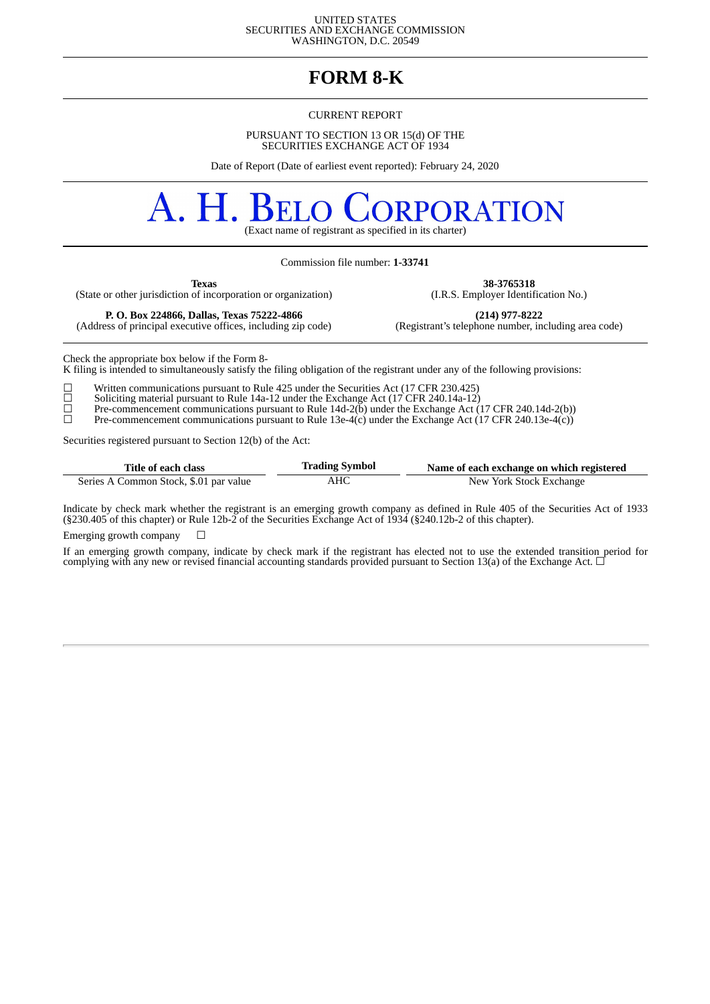UNITED STATES SECURITIES AND EXCHANGE COMMISSION WASHINGTON, D.C. 20549

# **FORM 8-K**

#### CURRENT REPORT

PURSUANT TO SECTION 13 OR 15(d) OF THE SECURITIES EXCHANGE ACT OF 1934

Date of Report (Date of earliest event reported): February 24, 2020

## A. H. **RPORATION**

(Exact name of registrant as specified in its charter)

Commission file number: **1-33741**

(State or other jurisdiction of incorporation or organization)

**Texas 38-3765318**<br>
of incorporation or organization) (I.R.S. Employer Identification No.)

(Address of principal executive offices, including zip code)

**P. O. Box 224866, Dallas, Texas 75222-4866 (214) 977-8222**

Check the appropriate box below if the Form 8-

K filing is intended to simultaneously satisfy the filing obligation of the registrant under any of the following provisions:

 $\Box$  Written communications pursuant to Rule 425 under the Securities Act (17 CFR 230.425) Soliciting material pursuant to Rule 14a-12 under the Exchange Act (17 CFR 240.14a-12) ☐ Soliciting material pursuant to Rule 14a-12 under the Exchange Act (17 CFR 240.14a-12)

☐ Pre-commencement communications pursuant to Rule 14d-2(b) under the Exchange Act (17 CFR 240.14d-2(b))

 $\Box$  Pre-commencement communications pursuant to Rule 13e-4(c) under the Exchange Act (17 CFR 240.13e-4(c))

Securities registered pursuant to Section 12(b) of the Act:

| Title of each class                    | <b>Trading Symbol</b> | Name of each exchange on which registered |
|----------------------------------------|-----------------------|-------------------------------------------|
| Series A Common Stock, \$.01 par value | AHC                   | New York Stock Exchange                   |

Indicate by check mark whether the registrant is an emerging growth company as defined in Rule 405 of the Securities Act of 1933 (§230.405 of this chapter) or Rule 12b-2 of the Securities Exchange Act of 1934 (§240.12b-2 of this chapter).

Emerging growth company  $\Box$ 

If an emerging growth company, indicate by check mark if the registrant has elected not to use the extended transition period for complying with any new or revised financial accounting standards provided pursuant to Section 13(a) of the Exchange Act.  $\Box$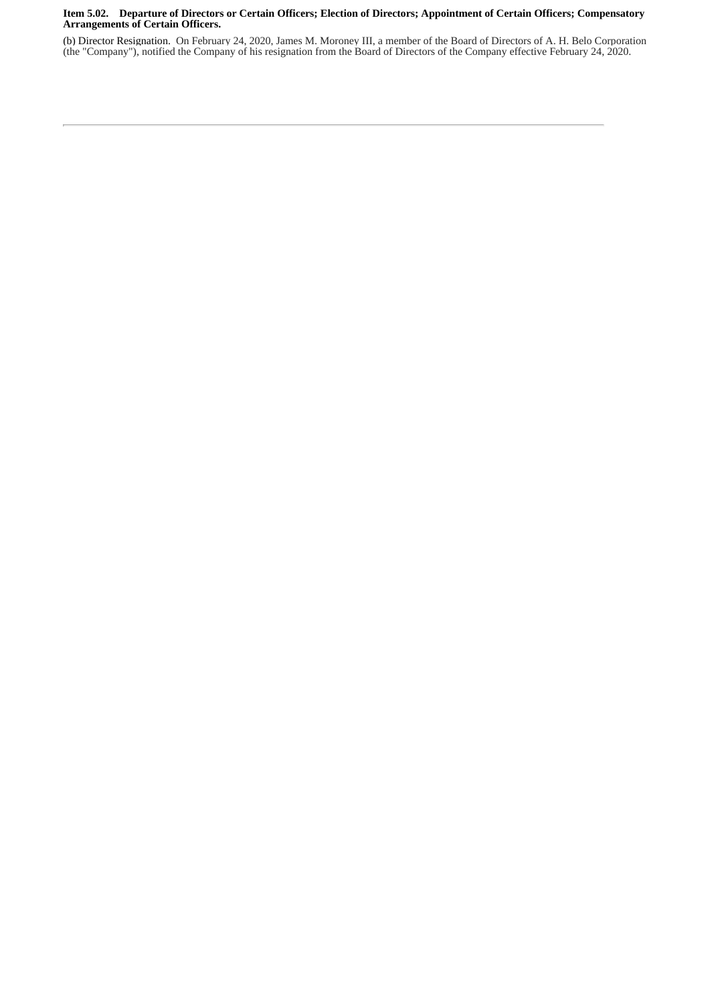#### Item 5.02. Departure of Directors or Certain Officers; Election of Directors; Appointment of Certain Officers; Compensatory **Arrangements of Certain Officers.**

(b) Director Resignation. On February 24, 2020, James M. Moroney III, a member of the Board of Directors of A. H. Belo Corporation (the "Company"), notified the Company of his resignation from the Board of Directors of the Company effective February 24, 2020.